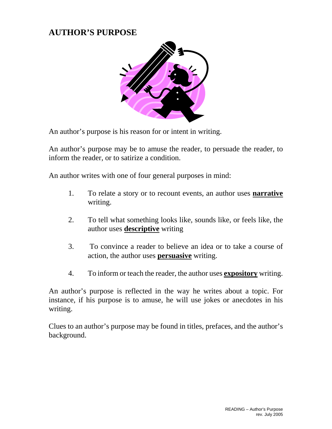## **AUTHOR'S PURPOSE**



An author's purpose is his reason for or intent in writing.

An author's purpose may be to amuse the reader, to persuade the reader, to inform the reader, or to satirize a condition.

An author writes with one of four general purposes in mind:

- 1. To relate a story or to recount events, an author uses **narrative** writing.
- 2. To tell what something looks like, sounds like, or feels like, the author uses **descriptive** writing
- 3. To convince a reader to believe an idea or to take a course of action, the author uses **persuasive** writing.
- 4. To inform or teach the reader, the author uses **expository** writing.

An author's purpose is reflected in the way he writes about a topic. For instance, if his purpose is to amuse, he will use jokes or anecdotes in his writing.

Clues to an author's purpose may be found in titles, prefaces, and the author's background.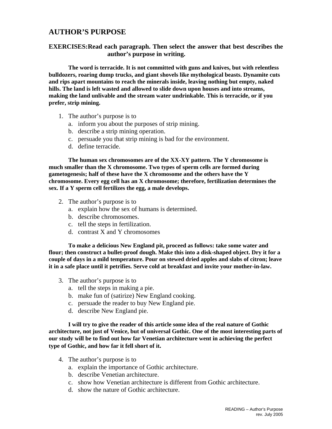## **AUTHOR'S PURPOSE**

**EXERCISES:Read each paragraph. Then select the answer that best describes the author's purpose in writing.** 

 **The word is terracide. It is not committed with guns and knives, but with relentless bulldozers, roaring dump trucks, and giant shovels like mythological beasts. Dynamite cuts and rips apart mountains to reach the minerals inside, leaving nothing but empty, naked hills. The land is left wasted and allowed to slide down upon houses and into streams, making the land unlivable and the stream water undrinkable. This is terracide, or if you prefer, strip mining.** 

- 1. The author's purpose is to
	- a. inform you about the purposes of strip mining.
	- b. describe a strip mining operation.
	- c. persuade you that strip mining is bad for the environment.
	- d. define terracide.

**The human sex chromosomes are of the XX-XY pattern. The Y chromosome is much smaller than the X chromosome. Two types of sperm cells are formed during gametogenesis; half of these have the X chromosome and the others have the Y chromosome. Every egg cell has an X chromosome; therefore, fertilization determines the sex. If a Y sperm cell fertilizes the egg, a male develops.** 

- 2. The author's purpose is to
	- a. explain how the sex of humans is determined.
	- b. describe chromosomes.
	- c. tell the steps in fertilization.
	- d. contrast X and Y chromosomes

**To make a delicious New England pit, proceed as follows: take some water and flour; then construct a bullet-proof dough. Make this into a disk-shaped object. Dry it for a couple of days in a mild temperature. Pour on stewed dried apples and slabs of citron; leave it in a safe place until it petrifies. Serve cold at breakfast and invite your mother-in-law.**

- 3. The author's purpose is to
	- a. tell the steps in making a pie.
	- b. make fun of (satirize) New England cooking.
	- c. persuade the reader to buy New England pie.
	- d. describe New England pie.

**I will try to give the reader of this article some idea of the real nature of Gothic architecture, not just of Venice, but of universal Gothic. One of the most interesting parts of our study will be to find out how far Venetian architecture went in achieving the perfect type of Gothic, and how far it fell short of it.**

- 4. The author's purpose is to
	- a. explain the importance of Gothic architecture.
	- b. describe Venetian architecture.
	- c. show how Venetian architecture is different from Gothic architecture.
	- d. show the nature of Gothic architecture.